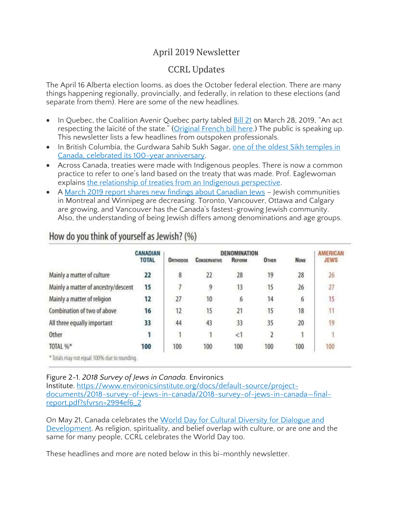## April 2019 Newsletter

## CCRL Updates

The April 16 Alberta election looms, as does the October federal election. There are many things happening regionally, provincially, and federally, in relation to these elections (and separate from them). Here are some of the new headlines.

- In Quebec, the Coalition Avenir Quebec party tabled [Bill](http://www.assnat.qc.ca/en/travaux-parlementaires/projets-loi/projet-loi-21-42-1.html) 21 on March 28, 2019, "An act respecting the laïcité of the state." [\(Original](http://m.assnat.qc.ca/fr/travaux-parlementaires/projets-loi/projet-loi-21-42-1.html) French bill here.) The public is speaking up. This newsletter lists a few headlines from outspoken professionals.
- In British Columbia, the Gurdwara Sahib Sukh Sagar, one of the oldest Sikh [temples](https://www.cbc.ca/news/canada/british-columbia/new-westminster-sikh-temple-celebrates-100-year-anniversary-1.5041082) in Canada, celebrated its 100-year [anniversary.](https://www.cbc.ca/news/canada/british-columbia/new-westminster-sikh-temple-celebrates-100-year-anniversary-1.5041082)
- Across Canada, treaties were made with Indigenous peoples. There is now a common practice to refer to one's land based on the treaty that was made. Prof. Eaglewoman explains the relationship of treaties from an Indigenous [perspective.](http://www.netnewsledger.com/2019/04/03/treaty-relationships-from-an-indigenous-perspective-angelique-eaglewoman/)
- A March 2019 report shares new findings about [Canadian](https://www.cjnews.com/living-jewish/how-canadas-jews-compare-to-our-neighbours-to-the-south) Jews Jewish communities in Montreal and Winnipeg are decreasing. Toronto, Vancouver, Ottawa and Calgary are growing, and Vancouver has the Canada's fastest-growing Jewish community. Also, the understanding of being Jewish differs among denominations and age groups.

|                                              | <b>CANADIAN</b> | DENOMINATION             |                     |               |              |             | <b>AMERICAN</b> |
|----------------------------------------------|-----------------|--------------------------|---------------------|---------------|--------------|-------------|-----------------|
|                                              | <b>TOTAL</b>    | <b>О</b> втиорох         | <b>CONSERVATIVE</b> | <b>REFORM</b> | <b>OTHER</b> | <b>NONE</b> | <b>JEWS</b>     |
| Mainly a matter of culture                   | 22              | 8                        | 22                  | 28            | 19           | 28          | 26              |
| Mainly a matter of ancestry/descent          | 15              | $\overline{\phantom{a}}$ | 9                   | 13            | 15           | 26          | 27              |
| Mainly a matter of religion                  | 12              | 27                       | 10                  | 6             | 14           | 6           | 15              |
| Combination of two of above                  | 16              | 12                       | 15                  | 21            | 15           | 18          | 11              |
| All three equally important                  | 33              | 44                       | 43                  | 33            | 35           | 20          | 19              |
| Other                                        | 1               | $\overline{1}$           | $\mathbf{1}$        | <1            | 2            | ٠           |                 |
| TOTAL %*                                     | 100             | 100                      | 100                 | 100           | 100          | 100         | 100             |
| * Totals may not equal 100% due to rounding. |                 |                          |                     |               |              |             |                 |

# How do you think of yourself as Jewish? (%)

## Figure 2-1. *2018 Survey of Jews in Canada.* Environics

Institute. [https://www.environicsinstitute.org/docs/default-source/project](https://www.environicsinstitute.org/docs/default-source/project-documents/2018-survey-of-jews-in-canada/2018-survey-of-jews-in-canada%E2%80%94final-report.pdf?sfvrsn=2994ef6_2)[documents/2018-survey-of-jews-in-canada/2018-survey-of-jews-in-canada](https://www.environicsinstitute.org/docs/default-source/project-documents/2018-survey-of-jews-in-canada/2018-survey-of-jews-in-canada%E2%80%94final-report.pdf?sfvrsn=2994ef6_2)—final[report.pdf?sfvrsn=2994ef6\\_2](https://www.environicsinstitute.org/docs/default-source/project-documents/2018-survey-of-jews-in-canada/2018-survey-of-jews-in-canada%E2%80%94final-report.pdf?sfvrsn=2994ef6_2)

On May 21, Canada celebrates the World Day for Cultural [Diversity](https://en.unesco.org/commemorations/culturaldiversityday) for Dialogue and [Development.](https://en.unesco.org/commemorations/culturaldiversityday) As religion, spirituality, and belief overlap with culture, or are one and the same for many people, CCRL celebrates the World Day too.

These headlines and more are noted below in this bi-monthly newsletter.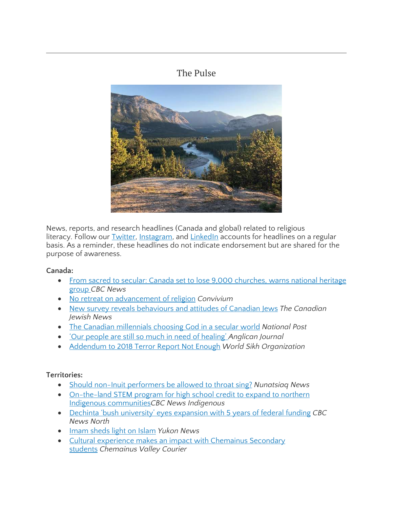## The Pulse



News, reports, and research headlines (Canada and global) related to religious literacy. Follow our [Twitter,](https://twitter.com/CcrlClrc) [Instagram,](https://www.instagram.com/ccrl.clrc/) and [LinkedIn](https://www.linkedin.com/company/ccrl-clrc/) accounts for headlines on a regular basis. As a reminder, these headlines do not indicate endorsement but are shared for the purpose of awareness.

#### **Canada:**

- From sacred to secular: Canada set to lose 9,000 [churches,](https://www.cbc.ca/news/canada/losing-churches-canada-1.5046812) warns national heritage [group](https://www.cbc.ca/news/canada/losing-churches-canada-1.5046812) *CBC News*
- No retreat on [advancement](https://www.convivium.ca/articles/no-retreat-on-advancement-of-religion) of religion *Convivium*
- New survey reveals [behaviours](https://www.cjnews.com/living-jewish/how-canadas-jews-compare-to-our-neighbours-to-the-south) and attitudes of Canadian Jews *The Canadian Jewish News*
- The Canadian [millennials](https://nationalpost.com/life/the-canadian-millennials-choosing-god-in-a-secular-world) choosing God in a secular world *National Post*
- 'Our people are still so much in need of [healing'](https://www.anglicanjournal.com/our-people-are-still-so-much-in-need-of-healing/) *Anglican Journal*
- [Addendum](http://www.worldsikh.org/addendum_to_2018_terror_report_not_enough_world_sikh_organization) to 2018 Terror Report Not Enough *World Sikh Organization*

### **Territories:**

- Should non-Inuit [performers](https://nunatsiaq.com/stories/article/should-non-inuit-performers-be-allowed-to-throat-sing/) be allowed to throat sing? *Nunatsiaq News*
- [On-the-land](https://www.cbc.ca/news/indigenous/actua-instem-program-north-1.5085196) STEM program for high school credit to expand to northern Indigenous [communities](https://www.cbc.ca/news/indigenous/actua-instem-program-north-1.5085196)*CBC News Indigenous*
- Dechinta 'bush university' eyes [expansion](https://www.cbc.ca/news/canada/north/dechinta-federal-funding-1.5074493) with 5 years of federal funding *CBC News North*
- Imam [sheds](https://www.yukon-news.com/life/imam-sheds-light-on-islam/) light on Islam *Yukon News*
- Cultural experience makes an impact with [Chemainus](https://www.chemainusvalleycourier.ca/home/cultural-experience-makes-an-impact-with-chemainus-secondary-students/) Secondary [students](https://www.chemainusvalleycourier.ca/home/cultural-experience-makes-an-impact-with-chemainus-secondary-students/) *Chemainus Valley Courier*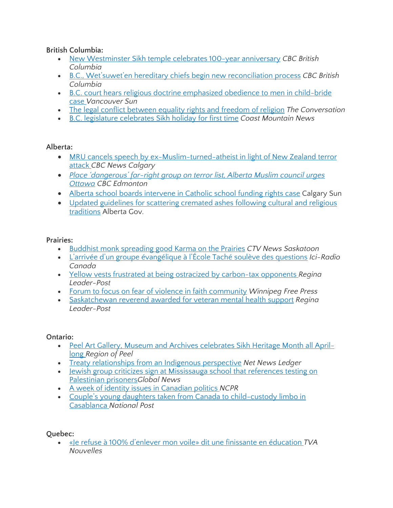**British Columbia:**

- New [Westminster](https://www.cbc.ca/news/canada/british-columbia/new-westminster-sikh-temple-celebrates-100-year-anniversary-1.5041082) Sikh temple celebrates 100-year anniversary *CBC British Columbia*
- B.C., [Wet'suwet'en](https://www.cbc.ca/news/canada/british-columbia/bc-wet-suwet-en-hereditary-chiefs-reconciliation-1.5011332) hereditary chiefs begin new reconciliation process *CBC British Columbia*
- B.C. court hears religious doctrine [emphasized](https://vancouversun.com/news/local-news/b-c-court-hears-religious-doctrine-emphasized-obedience-to-men-in-child-bride-case) obedience to men in child-bride [case](https://vancouversun.com/news/local-news/b-c-court-hears-religious-doctrine-emphasized-obedience-to-men-in-child-bride-case) *Vancouver Sun*
- The legal conflict [between](https://theconversation.com/the-legal-conflict-between-equality-rights-and-freedom-of-religion-113645) equality rights and freedom of religion *The Conversation*
- B.C. legislature [celebrates](https://www.coastmountainnews.com/news/b-c-legislature-celebrates-sikh-holiday-for-first-time/) Sikh holiday for first time *Coast Mountain News*

## **Alberta:**

- MRU cancels speech by [ex-Muslim-turned-atheist](https://www.cbc.ca/news/canada/calgary/mount-royal-university-armin-navabi-new-zealand-ex-muslim-atheist-speech-1.5065319) in light of New Zealand terror [attack](https://www.cbc.ca/news/canada/calgary/mount-royal-university-armin-navabi-new-zealand-ex-muslim-atheist-speech-1.5065319) *CBC News Calgary*
- *Place ['dangerous'](https://www.cbc.ca/news/canada/edmonton/far-right-extremism-white-supremacy-neo-nazi-muslim-new-zealand-hate-xenophobia-islamophobia-1.5061869) far-right group on terror list, Alberta Muslim council urges [Ottawa](https://www.cbc.ca/news/canada/edmonton/far-right-extremism-white-supremacy-neo-nazi-muslim-new-zealand-hate-xenophobia-islamophobia-1.5061869) CBC Edmonton*
- Alberta school boards [intervene](https://calgarysun.com/news/local-news/alberta-school-boards-intervene-in-catholic-school-funding-rights-case/wcm/6a5ee023-9108-4675-8763-5357bebd259c) in Catholic school funding rights case Calgary Sun
- Updated [guidelines](https://www.alberta.ca/release.cfm?xID=63719250D27E6-EC59-44EA-491E49A93DCC560F) for scattering cremated ashes following cultural and religious [traditions](https://www.alberta.ca/release.cfm?xID=63719250D27E6-EC59-44EA-491E49A93DCC560F) Alberta Gov.

## **Prairies:**

- Buddhist monk [spreading](https://saskatoon.ctvnews.ca/buddhist-monk-spreading-good-karma-on-the-prairies-1.4323614) good Karma on the Prairies *CTV News Saskatoon*
- L'arrivée d'un groupe [évangélique](https://ici.radio-canada.ca/nouvelle/1161886/larrivee-dun-groupe-evangelique-a-lecole-tache-souleve-des-questions) à l'École Taché soulève des questions *Ici-Radio Canada*
- Yellow vests frustrated at being ostracized by [carbon-tax](https://leaderpost.com/news/saskatchewan/yellow-vests-frustrated-at-being-ostracized-by-carbon-tax-opponents) opponents *Regina Leader-Post*
- Forum to focus on fear of violence in faith [community](https://www.winnipegfreepress.com/arts-and-life/life/faith/forum-to-focus-on-fear-of-violence-in-faith-community-507931501.html) *Winnipeg Free Press*
- [Saskatchewan](https://leaderpost.com/news/local-news/saskatchewan-reverend-awarded-veterans-affairs-commendation/wcm/b862e074-83a7-4929-9249-6c44ec29b79b) reverend awarded for veteran mental health support *Regina Leader-Post*

### **Ontario:**

- Peel Art Gallery, Museum and Archives [celebrates](http://www.peelregion.ca/news/archiveitem.asp?year=2019&month=2&day=27&file=2019227.xml) Sikh Heritage Month all April[long](http://www.peelregion.ca/news/archiveitem.asp?year=2019&month=2&day=27&file=2019227.xml) *Region of Peel*
- Treaty [relationships](http://www.netnewsledger.com/2019/04/03/treaty-relationships-from-an-indigenous-perspective-angelique-eaglewoman/) from an Indigenous perspective *Net News Ledger*
- Jewish group criticizes sign at [Mississauga](https://globalnews.ca/news/5162424/palestinian-prisoners-sign-mississauga-school/) school that references testing on [Palestinian](https://globalnews.ca/news/5162424/palestinian-prisoners-sign-mississauga-school/) prisoners*Global News*
- A week of identity issues in [Canadian](https://www.northcountrypublicradio.org/news/story/38351/20190330/a-week-of-identity-issues-in-canadian-politics) politics *NCPR*
- Couple's young daughters taken from Canada to [child-custody](https://nationalpost.com/news/canada/couples-young-daughters-taken-from-canada-to-child-custody-limbo-in-casablanca) limbo in [Casablanca](https://nationalpost.com/news/canada/couples-young-daughters-taken-from-canada-to-child-custody-limbo-in-casablanca) *National Post*

### **Quebec:**

 «Je refuse à 100% d'enlever mon voile» dit une finissante en [éducation](https://www.tvanouvelles.ca/2019/04/05/je-refuse-a-100-denlever-mon-voile-dit-une-finissante-en-education?fbclid=IwAR0ITFkeyA-Q-bLUsHXgpWYF9yq7kpcej-mZPTK2Nzz5iqDFDcdlPoRoSOE) *TVA Nouvelles*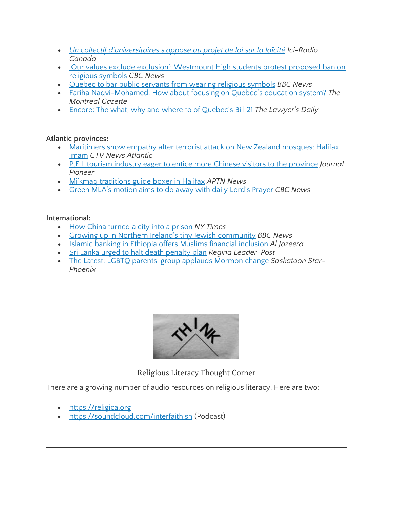- *Un collectif [d'universitaires](https://ici.radio-canada.ca/nouvelle/1162642/collectif-universitaires-opposes-projet-loi-laicite?fbclid=IwAR3M7UpOMHZOVTyJ6tU85hqoa1CUf1_1geKSO0rq4Iu96g32KS-N4MNDVUE) s'oppose au projet de loi sur la laïcité Ici-Radio Canada*
- 'Our values exclude exclusion': [Westmount](https://www.cbc.ca/news/canada/montreal/bill-21-protest-westmount-high-school-1.5082512?__vfz=medium%3Dsharebar&fbclid=IwAR3mUrWgZKv6rbXBFvqDUznNxXpGGROJQ6OtdMleBDPSXghLok-wAAK1U8Y) High students protest proposed ban on religious [symbols](https://www.cbc.ca/news/canada/montreal/bill-21-protest-westmount-high-school-1.5082512?__vfz=medium%3Dsharebar&fbclid=IwAR3mUrWgZKv6rbXBFvqDUznNxXpGGROJQ6OtdMleBDPSXghLok-wAAK1U8Y) *CBC News*
- Quebec to bar public [servants](https://www.bbc.com/news/world-us-canada-47701221?ns_source=facebook&ocid=socialflow_facebook&ns_mchannel=social&ns_campaign=bbcnews&fbclid=IwAR051oC8y8hoWrDXy148lTX8Vcud-HWQse-BgPSOmm5H830art_5M2CzrX4) from wearing religious symbols *BBC News*
- Fariha [Naqvi-Mohamed:](https://montrealgazette.com/opinion/columnists/fariha-naqvi-mohamed-how-about-focusing-on-quebecs-education-system) How about focusing on Quebec's education system? *The Montreal Gazette*
- Encore: The what, why and where to of [Quebec's](https://www.thelawyersdaily.ca/articles/11515) Bill 21 *The Lawyer's Daily*

#### **Atlantic provinces:**

- [Maritimers](https://atlantic.ctvnews.ca/maritimers-show-empathy-after-terrorist-attack-on-new-zealand-mosques-halifax-imam-1.4338671) show empathy after terrorist attack on New Zealand mosques: Halifax [imam](https://atlantic.ctvnews.ca/maritimers-show-empathy-after-terrorist-attack-on-new-zealand-mosques-halifax-imam-1.4338671) *CTV News Atlantic*
- P.E.I. tourism industry eager to entice more Chinese visitors to the [province](https://www.journalpioneer.com/news/local/pei-tourism-industry-eager-to-entice-more-chinese-visitors-to-the-province-294482/) *Journal Pioneer*
- Mi'kmaq [traditions](https://aptnnews.ca/2019/04/01/mikmaq-traditions-guide-boxer-in-halifax/) guide boxer in Halifax *APTN News*
- Green MLA's [motion](https://www.cbc.ca/news/canada/arseneau-higgs-austin-christian-prayer-legislature-1.5081671) aims to do away with daily Lord's Prayer *CBC News*

#### **International:**

- How China [turned](https://www.nytimes.com/interactive/2019/04/04/world/asia/xinjiang-china-surveillance-prison.html?emc=edit_na_20190405&nl=breaking-news&nlid=56082516ing-news&ref=cta) a city into a prison *NY Times*
- Growing up in Northern Ireland's tiny Jewish [community](https://www.bbc.co.uk/news/av/uk-northern-ireland-47792681/growing-up-in-northern-ireland-s-tiny-jewish-community) *BBC News*
- Islamic banking in Ethiopia offers Muslims financial [inclusion](https://aje.io/998kq) *Al Jazeera*
- Sri Lanka urged to halt death [penalty](https://leaderpost.com/pmn/news-pmn/amnesty-urges-sri-lanka-to-halt-death-penalty-plan/wcm/094afac0-16ff-4f20-8fb4-54479f40ce72) plan *Regina Leader-Post*
- The Latest: LGBTQ parents' group [applauds](https://thestarphoenix.com/pmn/news-pmn/the-latest-mormon-scholar-lgbtq-policy-repeal-marks-reset/wcm/4106dc5e-b2d0-47b0-a9e5-f7b98a5fc855) Mormon change *Saskatoon Star-Phoenix*



Religious Literacy Thought Corner

There are a growing number of audio resources on religious literacy. Here are two:

- [https://religica.org](https://religica.org/)
- <https://soundcloud.com/interfaithish> (Podcast)